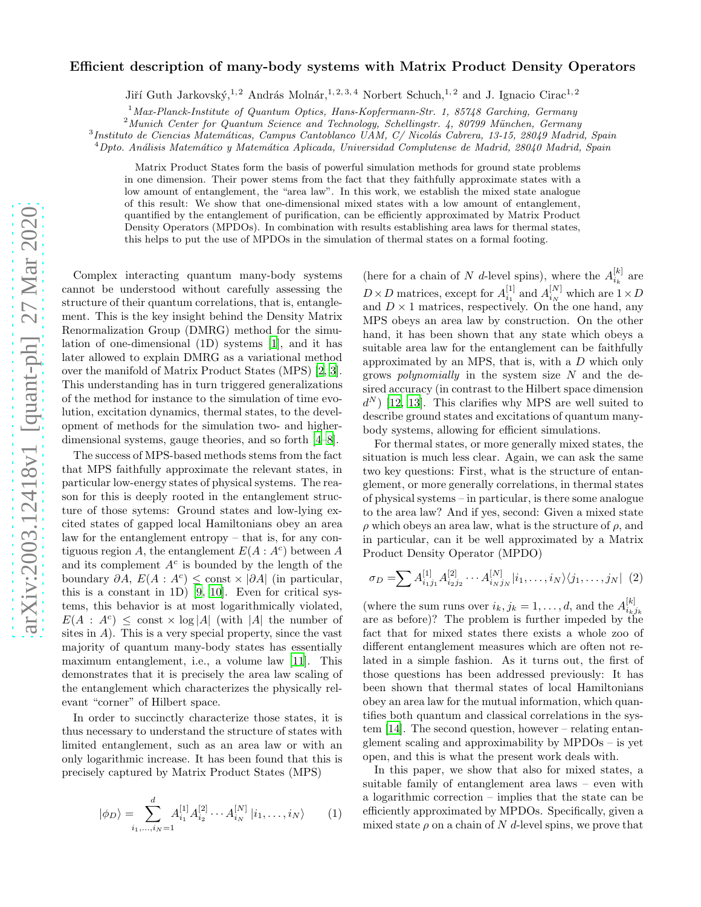## Efficient description of many-body systems with Matrix Product Density Operators

Jiří Guth Jarkovský,<sup>1, 2</sup> András Molnár,<sup>1, 2, 3, 4</sup> Norbert Schuch,<sup>1, 2</sup> and J. Ignacio Cirac<sup>1, 2</sup>

<sup>1</sup>*Max-Planck-Institute of Quantum Optics, Hans-Kopfermann-Str. 1, 85748 Garching, Germany*

<sup>2</sup> Munich Center for Quantum Science and Technology, Schellingstr. 4, 80799 München, Germany

<sup>3</sup> Instituto de Ciencias Matemáticas, Campus Cantoblanco UAM, C/ Nicolás Cabrera, 13-15, 28049 Madrid, Spain

<sup>4</sup>*Dpto. An´alisis Matem´atico y Matem´atica Aplicada, Universidad Complutense de Madrid, 28040 Madrid, Spain*

Matrix Product States form the basis of powerful simulation methods for ground state problems in one dimension. Their power stems from the fact that they faithfully approximate states with a low amount of entanglement, the "area law". In this work, we establish the mixed state analogue of this result: We show that one-dimensional mixed states with a low amount of entanglement, quantified by the entanglement of purification, can be efficiently approximated by Matrix Product Density Operators (MPDOs). In combination with results establishing area laws for thermal states, this helps to put the use of MPDOs in the simulation of thermal states on a formal footing.

Complex interacting quantum many-body systems cannot be understood without carefully assessing the structure of their quantum correlations, that is, entanglement. This is the key insight behind the Density Matrix Renormalization Group (DMRG) method for the simulation of one-dimensional (1D) systems [\[1\]](#page-3-0), and it has later allowed to explain DMRG as a variational method over the manifold of Matrix Product States (MPS) [\[2,](#page-3-1) [3\]](#page-3-2). This understanding has in turn triggered generalizations of the method for instance to the simulation of time evolution, excitation dynamics, thermal states, to the development of methods for the simulation two- and higherdimensional systems, gauge theories, and so forth [\[4](#page-3-3)[–8\]](#page-3-4).

The success of MPS-based methods stems from the fact that MPS faithfully approximate the relevant states, in particular low-energy states of physical systems. The reason for this is deeply rooted in the entanglement structure of those sytems: Ground states and low-lying excited states of gapped local Hamiltonians obey an area law for the entanglement entropy – that is, for any contiguous region A, the entanglement  $E(A: A<sup>c</sup>)$  between A and its complement  $A<sup>c</sup>$  is bounded by the length of the boundary  $\partial A$ ,  $E(A : A^c) \leq \text{const} \times |\partial A|$  (in particular, this is a constant in 1D) [\[9,](#page-3-5) [10\]](#page-3-6). Even for critical systems, this behavior is at most logarithmically violated,  $E(A : A^c) \leq \text{const} \times \log |A|$  (with |A| the number of sites in  $A$ ). This is a very special property, since the vast majority of quantum many-body states has essentially maximum entanglement, i.e., a volume law [\[11\]](#page-3-7). This demonstrates that it is precisely the area law scaling of the entanglement which characterizes the physically relevant "corner" of Hilbert space.

In order to succinctly characterize those states, it is thus necessary to understand the structure of states with limited entanglement, such as an area law or with an only logarithmic increase. It has been found that this is precisely captured by Matrix Product States (MPS)

$$
|\phi_D\rangle = \sum_{i_1,\dots,i_N=1}^d A_{i_1}^{[1]} A_{i_2}^{[2]} \cdots A_{i_N}^{[N]} |i_1,\dots,i_N\rangle \qquad (1)
$$

(here for a chain of N d-level spins), where the  $A_{i_k}^{[k]}$  are  $D \times D$  matrices, except for  $A_{i_1}^{[1]}$  and  $A_{i_N}^{[N]}$  which are  $1 \times D$ and  $D \times 1$  matrices, respectively. On the one hand, any MPS obeys an area law by construction. On the other hand, it has been shown that any state which obeys a suitable area law for the entanglement can be faithfully approximated by an MPS, that is, with a D which only grows *polynomially* in the system size  $N$  and the desired accuracy (in contrast to the Hilbert space dimension  $d^N$ ) [\[12](#page-3-8), [13\]](#page-3-9). This clarifies why MPS are well suited to describe ground states and excitations of quantum manybody systems, allowing for efficient simulations.

For thermal states, or more generally mixed states, the situation is much less clear. Again, we can ask the same two key questions: First, what is the structure of entanglement, or more generally correlations, in thermal states of physical systems – in particular, is there some analogue to the area law? And if yes, second: Given a mixed state  $\rho$  which obeys an area law, what is the structure of  $\rho$ , and in particular, can it be well approximated by a Matrix Product Density Operator (MPDO)

<span id="page-0-0"></span>
$$
\sigma_D = \sum A_{i_1 j_1}^{[1]} A_{i_2 j_2}^{[2]} \cdots A_{i_N j_N}^{[N]} |i_1, \ldots, i_N\rangle \langle j_1, \ldots, j_N | (2)
$$

(where the sum runs over  $i_k, j_k = 1, \ldots, d$ , and the  $A_{i_k}^{[k]}$  $i_kj_k$ are as before)? The problem is further impeded by the fact that for mixed states there exists a whole zoo of different entanglement measures which are often not related in a simple fashion. As it turns out, the first of those questions has been addressed previously: It has been shown that thermal states of local Hamiltonians obey an area law for the mutual information, which quantifies both quantum and classical correlations in the system [\[14](#page-3-10)]. The second question, however – relating entanglement scaling and approximability by MPDOs – is yet open, and this is what the present work deals with.

In this paper, we show that also for mixed states, a suitable family of entanglement area laws – even with a logarithmic correction – implies that the state can be efficiently approximated by MPDOs. Specifically, given a mixed state  $\rho$  on a chain of N d-level spins, we prove that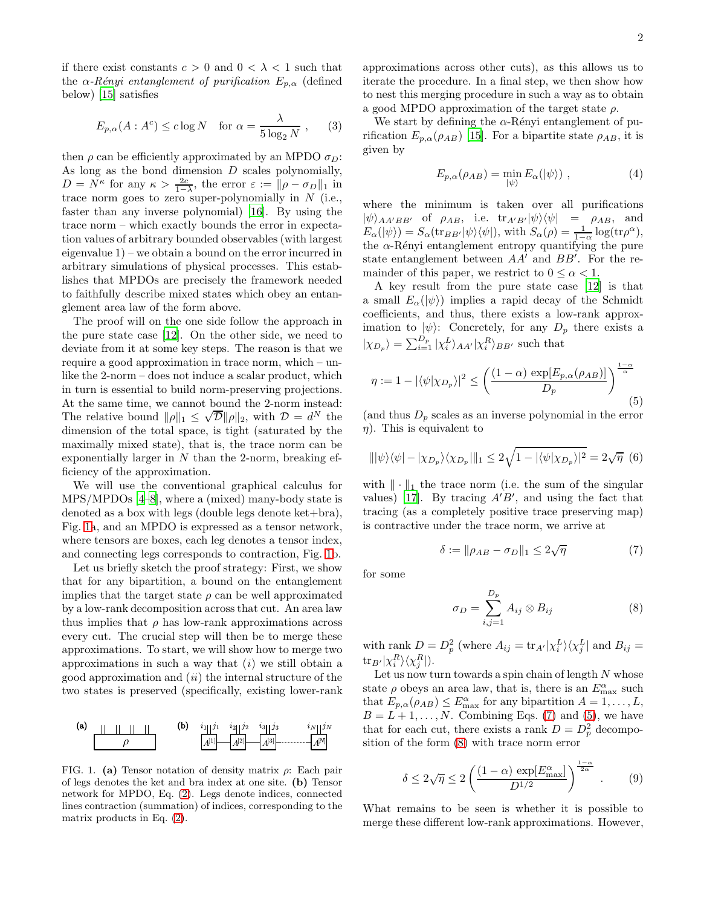if there exist constants  $c > 0$  and  $0 < \lambda < 1$  such that the  $\alpha$ -Rényi entanglement of purification  $E_{p,\alpha}$  (defined below) [\[15\]](#page-3-11) satisfies

<span id="page-1-5"></span>
$$
E_{p,\alpha}(A : A^c) \le c \log N \quad \text{for } \alpha = \frac{\lambda}{5 \log_2 N} , \qquad (3)
$$

then  $\rho$  can be efficiently approximated by an MPDO  $\sigma_D$ : As long as the bond dimension  $D$  scales polynomially,  $D = N^{\kappa}$  for any  $\kappa > \frac{2c}{1-\lambda}$ , the error  $\varepsilon := ||\rho - \sigma_D||_1$  in trace norm goes to zero super-polynomially in  $N$  (i.e., faster than any inverse polynomial) [\[16](#page-3-12)]. By using the trace norm – which exactly bounds the error in expectation values of arbitrary bounded observables (with largest eigenvalue 1) – we obtain a bound on the error incurred in arbitrary simulations of physical processes. This establishes that MPDOs are precisely the framework needed to faithfully describe mixed states which obey an entanglement area law of the form above.

The proof will on the one side follow the approach in the pure state case [\[12\]](#page-3-8). On the other side, we need to deviate from it at some key steps. The reason is that we require a good approximation in trace norm, which – unlike the 2-norm – does not induce a scalar product, which in turn is essential to build norm-preserving projections. At the same time, we cannot bound the 2-norm instead: The relative bound  $\|\rho\|_1 \leq \sqrt{\mathcal{D}} \|\rho\|_2$ , with  $\mathcal{D} = d^N$  the dimension of the total space, is tight (saturated by the maximally mixed state), that is, the trace norm can be exponentially larger in  $N$  than the 2-norm, breaking efficiency of the approximation.

We will use the conventional graphical calculus for MPS/MPDOs [\[4](#page-3-3)[–8](#page-3-4)], where a (mixed) many-body state is denoted as a box with legs (double legs denote ket+bra), Fig. [1a](#page-1-0), and an MPDO is expressed as a tensor network, where tensors are boxes, each leg denotes a tensor index, and connecting legs corresponds to contraction, Fig. [1b](#page-1-0).

Let us briefly sketch the proof strategy: First, we show that for any bipartition, a bound on the entanglement implies that the target state  $\rho$  can be well approximated by a low-rank decomposition across that cut. An area law thus implies that  $\rho$  has low-rank approximations across every cut. The crucial step will then be to merge these approximations. To start, we will show how to merge two approximations in such a way that  $(i)$  we still obtain a good approximation and  $(ii)$  the internal structure of the two states is preserved (specifically, existing lower-rank



<span id="page-1-0"></span>FIG. 1. (a) Tensor notation of density matrix  $\rho$ : Each pair of legs denotes the ket and bra index at one site. (b) Tensor network for MPDO, Eq. [\(2\)](#page-0-0). Legs denote indices, connected lines contraction (summation) of indices, corresponding to the matrix products in Eq. [\(2\)](#page-0-0).

approximations across other cuts), as this allows us to iterate the procedure. In a final step, we then show how to nest this merging procedure in such a way as to obtain a good MPDO approximation of the target state  $\rho$ .

We start by defining the  $\alpha$ -Rényi entanglement of purification  $E_{p,\alpha}(\rho_{AB})$  [\[15](#page-3-11)]. For a bipartite state  $\rho_{AB}$ , it is given by

$$
E_{p,\alpha}(\rho_{AB}) = \min_{|\psi\rangle} E_{\alpha}(|\psi\rangle) , \qquad (4)
$$

where the minimum is taken over all purifications  $|\psi\rangle_{AA'BB'}$  of  $\rho_{AB}$ , i.e.  $\text{tr}_{A'B'}|\psi\rangle\langle\psi| = \rho_{AB}$ , and  $E_{\alpha}(|\psi\rangle) = S_{\alpha}(\text{tr}_{BB'}|\psi\rangle\langle\psi|), \text{ with } S_{\alpha}(\rho) = \frac{1}{1-\alpha}\log(\text{tr}\rho^{\alpha}),$ the  $\alpha$ -Rényi entanglement entropy quantifying the pure state entanglement between  $AA'$  and  $BB'$ . For the remainder of this paper, we restrict to  $0 \leq \alpha \leq 1$ .

A key result from the pure state case [\[12](#page-3-8)] is that a small  $E_{\alpha}(|\psi\rangle)$  implies a rapid decay of the Schmidt coefficients, and thus, there exists a low-rank approximation to  $|\psi\rangle$ : Concretely, for any  $D_p$  there exists a  $|\chi_{D_p}\rangle = \sum_{i=1}^{D_p} |\chi_i^L\rangle_{AA'} |\chi_i^R\rangle_{BB'}$  such that

<span id="page-1-2"></span>
$$
\eta := 1 - |\langle \psi | \chi_{D_p} \rangle|^2 \le \left( \frac{(1 - \alpha) \, \exp[E_{p,\alpha}(\rho_{AB})]}{D_p} \right)^{\frac{1 - \alpha}{\alpha}} \tag{5}
$$

(and thus  $D_p$  scales as an inverse polynomial in the error  $\eta$ ). This is equivalent to

$$
\| |\psi\rangle\langle\psi| - |\chi_{D_p}\rangle\langle\chi_{D_p}||_1 \le 2\sqrt{1 - |\langle\psi|\chi_{D_p}\rangle|^2} = 2\sqrt{\eta} \tag{6}
$$

with  $\|\cdot\|_1$  the trace norm (i.e. the sum of the singular values) [\[17](#page-4-0)]. By tracing  $A'B'$ , and using the fact that tracing (as a completely positive trace preserving map) is contractive under the trace norm, we arrive at

<span id="page-1-1"></span>
$$
\delta := \|\rho_{AB} - \sigma_D\|_1 \le 2\sqrt{\eta} \tag{7}
$$

for some

<span id="page-1-3"></span>
$$
\sigma_D = \sum_{i,j=1}^{D_p} A_{ij} \otimes B_{ij} \tag{8}
$$

with rank  $D = D_p^2$  (where  $A_{ij} = \text{tr}_{A'} |\chi_i^L\rangle \langle \chi_j^L|$  and  $B_{ij} =$  $\text{tr}_{B'} |\chi_{i}^{R}\rangle\langle\chi_{j}^{R}|).$ 

Let us now turn towards a spin chain of length  $N$  whose state  $\rho$  obeys an area law, that is, there is an  $E_{\text{max}}^{\alpha}$  such that  $E_{p,\alpha}(\rho_{AB}) \leq E_{\text{max}}^{\alpha}$  for any bipartition  $A = 1, \ldots, L$ ,  $B = L + 1, \ldots, N$ . Combining Eqs. [\(7\)](#page-1-1) and [\(5\)](#page-1-2), we have that for each cut, there exists a rank  $D = D_p^2$  decomposition of the form [\(8\)](#page-1-3) with trace norm error

<span id="page-1-4"></span>
$$
\delta \le 2\sqrt{\eta} \le 2\left(\frac{(1-\alpha)\exp[E_{\max}^{\alpha}]}{D^{1/2}}\right)^{\frac{1-\alpha}{2\alpha}}.\tag{9}
$$

What remains to be seen is whether it is possible to merge these different low-rank approximations. However,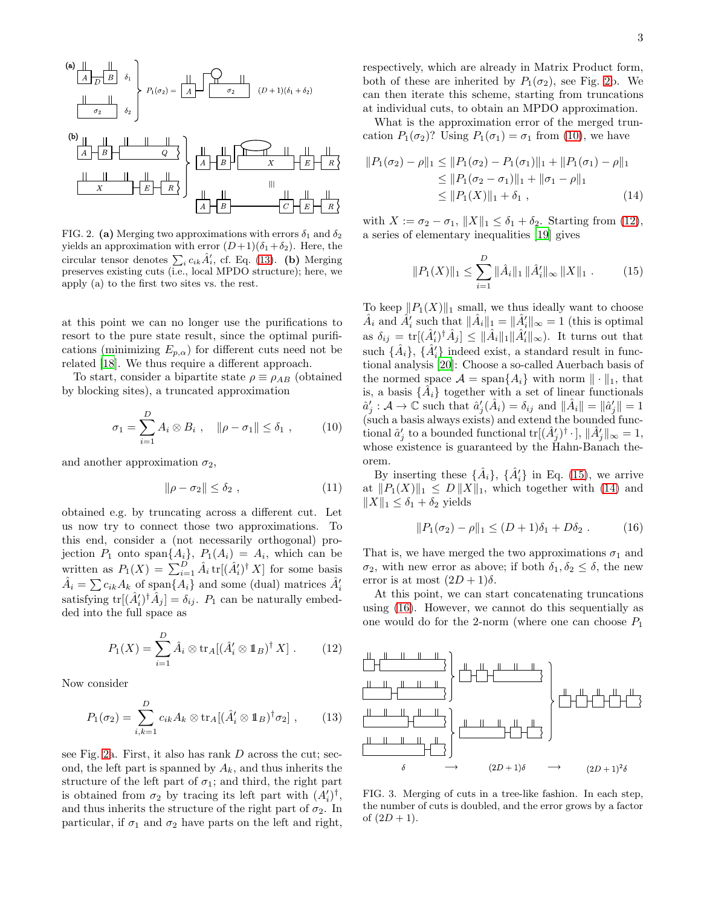(a) 
$$
\mathbf{H}
$$
  
\n $\mathbf{A} \mathbf{B}$   
\n $\mathbf{B}$   
\n $\mathbf{B}$   
\n $\mathbf{C}$   
\n $\mathbf{D}$   
\n $\mathbf{A}$   
\n $\mathbf{B}$   
\n $\mathbf{C}$   
\n $\mathbf{C}$   
\n $\mathbf{D}$   
\n $\mathbf{D}$   
\n $\mathbf{D}$   
\n $\mathbf{D}$   
\n $\mathbf{D}$   
\n $\mathbf{D}$   
\n $\mathbf{D}$   
\n $\mathbf{D}$   
\n $\mathbf{D}$   
\n $\mathbf{D}$   
\n $\mathbf{D}$   
\n $\mathbf{D}$   
\n $\mathbf{D}$   
\n $\mathbf{D}$   
\n $\mathbf{D}$   
\n $\mathbf{D}$   
\n $\mathbf{D}$   
\n $\mathbf{D}$   
\n $\mathbf{D}$   
\n $\mathbf{D}$   
\n $\mathbf{D}$   
\n $\mathbf{D}$   
\n $\mathbf{D}$   
\n $\mathbf{D}$   
\n $\mathbf{D}$   
\n $\mathbf{D}$   
\n $\mathbf{D}$   
\n $\mathbf{D}$   
\n $\mathbf{D}$   
\n $\mathbf{D}$   
\n $\mathbf{D}$   
\n $\mathbf{D}$   
\n $\mathbf{D}$   
\n $\mathbf{D}$   
\n $\mathbf{D}$   
\n $\mathbf{D}$   
\n $\mathbf{D}$   
\n $\mathbf{D}$   
\n $\mathbf{D}$   
\n $\mathbf{D}$   
\n $\mathbf{D}$   
\n $\mathbf{D}$   
\n $\mathbf{D}$   
\n $\mathbf{D}$   
\n $\mathbf{D}$   
\n $\mathbf{D}$   
\n $\mathbf{D}$   
\n $\mathbf{D}$   
\n $\$ 

<span id="page-2-1"></span>FIG. 2. (a) Merging two approximations with errors  $\delta_1$  and  $\delta_2$ yields an approximation with error  $(D+1)(\delta_1+\delta_2)$ . Here, the circular tensor denotes  $\sum_i c_{ik} \hat{A}'_i$ , cf. Eq. [\(13\)](#page-2-0). (b) Merging preserves existing cuts (i.e., local MPDO structure); here, we apply (a) to the first two sites vs. the rest.

at this point we can no longer use the purifications to resort to the pure state result, since the optimal purifications (minimizing  $E_{p,\alpha}$ ) for different cuts need not be related [\[18\]](#page-4-1). We thus require a different approach.

To start, consider a bipartite state  $\rho \equiv \rho_{AB}$  (obtained by blocking sites), a truncated approximation

<span id="page-2-2"></span>
$$
\sigma_1 = \sum_{i=1}^{D} A_i \otimes B_i , \quad ||\rho - \sigma_1|| \le \delta_1 , \qquad (10)
$$

and another approximation  $\sigma_2$ ,

$$
\|\rho - \sigma_2\| \le \delta_2 \;, \tag{11}
$$

obtained e.g. by truncating across a different cut. Let us now try to connect those two approximations. To this end, consider a (not necessarily orthogonal) projection  $P_1$  onto span $\{A_i\}, P_1(A_i) = A_i$ , which can be written as  $P_1(X) = \sum_{i=1}^{D} \hat{A}_i \text{tr}[(\hat{A}'_i)^{\dagger} X]$  for some basis  $\hat{A}_i = \sum c_{ik} A_k$  of span $\{A_i\}$  and some (dual) matrices  $\hat{A}'_i$ satisfying  $tr[(\hat{A}'_i)^{\dagger} \hat{A}_j] = \delta_{ij}$ .  $P_1$  can be naturally embedded into the full space as

<span id="page-2-3"></span>
$$
P_1(X) = \sum_{i=1}^{D} \hat{A}_i \otimes \text{tr}_A[(\hat{A}'_i \otimes \mathbb{1}_B)^{\dagger} X]. \quad (12)
$$

Now consider

<span id="page-2-0"></span>
$$
P_1(\sigma_2) = \sum_{i,k=1}^D c_{ik} A_k \otimes \text{tr}_A[(\hat{A}'_i \otimes \mathbb{1}_B)^{\dagger} \sigma_2], \qquad (13)
$$

see Fig. [2a](#page-2-1). First, it also has rank  $D$  across the cut; second, the left part is spanned by  $A_k$ , and thus inherits the structure of the left part of  $\sigma_1$ ; and third, the right part is obtained from  $\sigma_2$  by tracing its left part with  $(A_i')^{\dagger}$ , and thus inherits the structure of the right part of  $\sigma_2$ . In particular, if  $\sigma_1$  and  $\sigma_2$  have parts on the left and right, respectively, which are already in Matrix Product form, both of these are inherited by  $P_1(\sigma_2)$ , see Fig. [2b](#page-2-1). We can then iterate this scheme, starting from truncations at individual cuts, to obtain an MPDO approximation.

What is the approximation error of the merged truncation  $P_1(\sigma_2)$ ? Using  $P_1(\sigma_1) = \sigma_1$  from [\(10\)](#page-2-2), we have

$$
||P_1(\sigma_2) - \rho||_1 \le ||P_1(\sigma_2) - P_1(\sigma_1)||_1 + ||P_1(\sigma_1) - \rho||_1
$$
  
\n
$$
\le ||P_1(\sigma_2 - \sigma_1)||_1 + ||\sigma_1 - \rho||_1
$$
  
\n
$$
\le ||P_1(X)||_1 + \delta_1,
$$
\n(14)

with  $X := \sigma_2 - \sigma_1$ ,  $||X||_1 \leq \delta_1 + \delta_2$ . Starting from [\(12\)](#page-2-3), a series of elementary inequalities [\[19\]](#page-4-2) gives

<span id="page-2-5"></span><span id="page-2-4"></span>
$$
||P_1(X)||_1 \le \sum_{i=1}^D ||\hat{A}_i||_1 ||\hat{A}'_i||_{\infty} ||X||_1 . \tag{15}
$$

To keep  $||P_1(X)||_1$  small, we thus ideally want to choose  $\hat{A}_i$  and  $\hat{A}'_i$  such that  $\|\hat{A}_i\|_1 = \|\hat{A}'_i\|_{\infty} = 1$  (this is optimal as  $\delta_{ij} = \text{tr}[(\hat{A}'_i)^{\dagger} \hat{A}_j] \leq {\|\hat{A}_i\|_1 \|\hat{A}'_i\|_{\infty}}$ . It turns out that such  $\{\hat{A}_i\}$ ,  $\{\hat{A}'_i\}$  indeed exist, a standard result in functional analysis [\[20](#page-4-3)]: Choose a so-called Auerbach basis of the normed space  $\mathcal{A} = \text{span}\{A_i\}$  with norm  $\|\cdot\|_1$ , that is, a basis  $\{\hat{A}_i\}$  together with a set of linear functionals  $\hat{a}'_j : A \to \mathbb{C}$  such that  $\hat{a}'_j(\hat{A}_i) = \delta_{ij}$  and  $||\hat{A}_i|| = ||\hat{a}'_j|| = 1$ (such a basis always exists) and extend the bounded functional  $\hat{a}'_j$  to a bounded functional  $\text{tr}[(\hat{A}'_j)^{\dagger} \cdot], ||\hat{A}'_j||_{\infty} = 1$ , whose existence is guaranteed by the Hahn-Banach theorem.

By inserting these  $\{\hat{A}_i\}$ ,  $\{\hat{A}'_i\}$  in Eq. [\(15\)](#page-2-4), we arrive at  $||P_1(X)||_1 \leq D ||X||_1$ , which together with [\(14\)](#page-2-5) and  $||X||_1 \leq \delta_1 + \delta_2$  yields

<span id="page-2-6"></span>
$$
||P_1(\sigma_2) - \rho||_1 \le (D+1)\delta_1 + D\delta_2.
$$
 (16)

That is, we have merged the two approximations  $\sigma_1$  and  $\sigma_2$ , with new error as above; if both  $\delta_1, \delta_2 \leq \delta$ , the new error is at most  $(2D+1)\delta$ .

At this point, we can start concatenating truncations using [\(16\)](#page-2-6). However, we cannot do this sequentially as one would do for the 2-norm (where one can choose  $P_1$ 



<span id="page-2-7"></span>FIG. 3. Merging of cuts in a tree-like fashion. In each step, the number of cuts is doubled, and the error grows by a factor of  $(2D + 1)$ .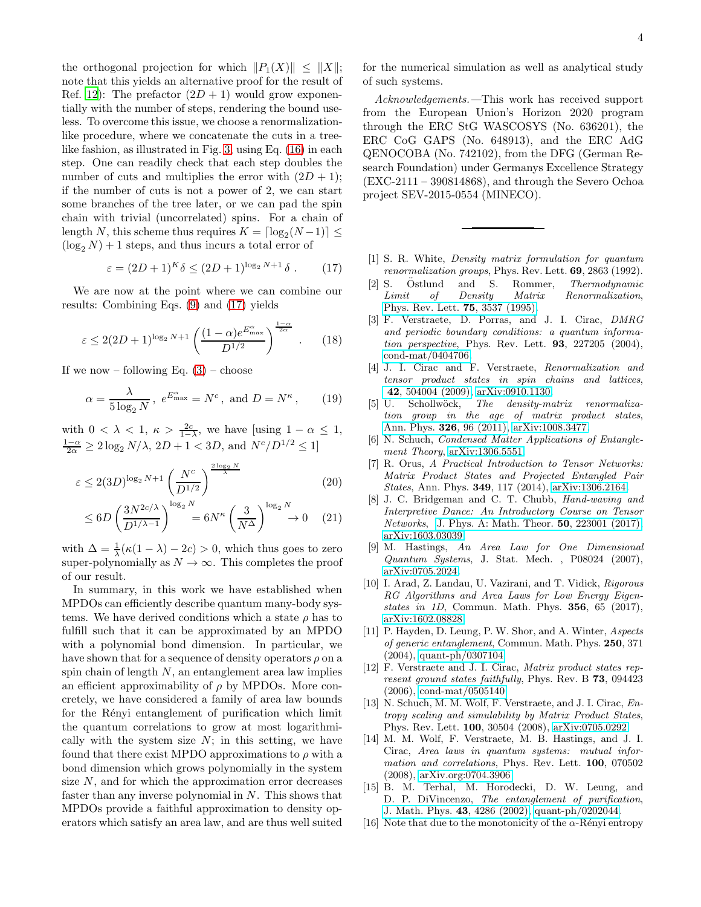the orthogonal projection for which  $||P_1(X)|| \leq ||X||;$ note that this yields an alternative proof for the result of Ref. [12\)](#page-3-8): The prefactor  $(2D + 1)$  would grow exponentially with the number of steps, rendering the bound useless. To overcome this issue, we choose a renormalizationlike procedure, where we concatenate the cuts in a treelike fashion, as illustrated in Fig. [3,](#page-2-7) using Eq. [\(16\)](#page-2-6) in each step. One can readily check that each step doubles the number of cuts and multiplies the error with  $(2D + 1);$ if the number of cuts is not a power of 2, we can start some branches of the tree later, or we can pad the spin chain with trivial (uncorrelated) spins. For a chain of length N, this scheme thus requires  $K = \lceil \log_2(N-1) \rceil \le$  $(\log_2 N) + 1$  steps, and thus incurs a total error of

<span id="page-3-13"></span>
$$
\varepsilon = (2D+1)^K \delta \le (2D+1)^{\log_2 N + 1} \delta . \tag{17}
$$

We are now at the point where we can combine our results: Combining Eqs. [\(9\)](#page-1-4) and [\(17\)](#page-3-13) yields

$$
\varepsilon \le 2(2D+1)^{\log_2 N + 1} \left( \frac{(1-\alpha)e^{E_{\max}^{\alpha}}}{D^{1/2}} \right)^{\frac{1-\alpha}{2\alpha}}. \quad (18)
$$

If we now – following Eq.  $(3)$  – choose

$$
\alpha = \frac{\lambda}{5 \log_2 N}, \ e^{E_{\text{max}}^{\alpha}} = N^c, \text{ and } D = N^{\kappa}, \qquad (19)
$$

with  $0 < \lambda < 1$ ,  $\kappa > \frac{2c}{1-\lambda}$ , we have [using  $1 - \alpha \leq 1$ ,  $\frac{1-\alpha}{2\alpha} \geq 2\log_2 N/\lambda$ ,  $2D + 1 < 3D$ , and  $N^c/D^{1/2} \leq 1$ 

$$
\varepsilon \le 2(3D)^{\log_2 N + 1} \left(\frac{N^c}{D^{1/2}}\right)^{\frac{2\log_2 N}{\lambda}} \tag{20}
$$

$$
\leq 6D \left(\frac{3N^{2c/\lambda}}{D^{1/\lambda - 1}}\right)^{\log_2 N} = 6N^{\kappa} \left(\frac{3}{N^{\Delta}}\right)^{\log_2 N} \to 0 \quad (21)
$$

with  $\Delta = \frac{1}{\lambda} (\kappa (1 - \lambda) - 2c) > 0$ , which thus goes to zero super-polynomially as  $N \to \infty$ . This completes the proof of our result.

In summary, in this work we have established when MPDOs can efficiently describe quantum many-body systems. We have derived conditions which a state  $\rho$  has to fulfill such that it can be approximated by an MPDO with a polynomial bond dimension. In particular, we have shown that for a sequence of density operators  $\rho$  on a spin chain of length  $N$ , an entanglement area law implies an efficient approximability of  $\rho$  by MPDOs. More concretely, we have considered a family of area law bounds for the Rényi entanglement of purification which limit the quantum correlations to grow at most logarithmically with the system size  $N$ ; in this setting, we have found that there exist MPDO approximations to  $\rho$  with a bond dimension which grows polynomially in the system size  $N$ , and for which the approximation error decreases faster than any inverse polynomial in  $N$ . This shows that MPDOs provide a faithful approximation to density operators which satisfy an area law, and are thus well suited

for the numerical simulation as well as analytical study of such systems.

Acknowledgements.—This work has received support from the European Union's Horizon 2020 program through the ERC StG WASCOSYS (No. 636201), the ERC CoG GAPS (No. 648913), and the ERC AdG QENOCOBA (No. 742102), from the DFG (German Research Foundation) under Germanys Excellence Strategy (EXC-2111 – 390814868), and through the Severo Ochoa project SEV-2015-0554 (MINECO).

- <span id="page-3-0"></span>[1] S. R. White, *Density matrix formulation for quantum renormalization groups*, Phys. Rev. Lett. 69, 2863 (1992).
- <span id="page-3-1"></span>[2] S. Östlund and S. Rommer, *Thermodynamic Limit of Density Matrix Renormalization*, [Phys. Rev. Lett.](https://doi.org/10.1103/PhysRevLett.75.3537) 75, 3537 (1995).
- <span id="page-3-2"></span>[3] F. Verstraete, D. Porras, and J. I. Cirac, *DMRG and periodic boundary conditions: a quantum information perspective*, Phys. Rev. Lett. 93, 227205 (2004), [cond-mat/0404706.](https://arxiv.org/abs/cond-mat/0404706)
- <span id="page-3-3"></span>[4] J. I. Cirac and F. Verstraete, *Renormalization and tensor product states in spin chains and lattices*, 42[, 504004 \(2009\),](https://doi.org/10.1088/1751-8113/42/50/504004) [arXiv:0910.1130.](https://arxiv.org/abs/arXiv:0910.1130)
- [5] U. Schollw¨ock, *The density-matrix renormalization group in the age of matrix product states*, [Ann. Phys.](https://doi.org/10.1016/j.aop.2010.09.012) 326, 96 (2011), [arXiv:1008.3477.](https://arxiv.org/abs/arXiv:1008.3477)
- [6] N. Schuch, *Condensed Matter Applications of Entanglement Theory*, [arXiv:1306.5551.](https://arxiv.org/abs/arXiv:1306.5551)
- [7] R. Orus, *A Practical Introduction to Tensor Networks: Matrix Product States and Projected Entangled Pair States*, Ann. Phys. 349, 117 (2014), [arXiv:1306.2164.](https://arxiv.org/abs/arXiv:1306.2164)
- <span id="page-3-4"></span>[8] J. C. Bridgeman and C. T. Chubb, *Hand-waving and Interpretive Dance: An Introductory Course on Tensor Networks*, [J. Phys. A: Math. Theor.](https://doi.org/10.1088/1751-8121/aa6dc3) 50, 223001 (2017), [arXiv:1603.03039.](https://arxiv.org/abs/arXiv:1603.03039)
- <span id="page-3-5"></span>[9] M. Hastings, *An Area Law for One Dimensional Quantum Systems*, J. Stat. Mech. , P08024 (2007), [arXiv:0705.2024.](https://arxiv.org/abs/arXiv:0705.2024)
- <span id="page-3-6"></span>[10] I. Arad, Z. Landau, U. Vazirani, and T. Vidick, *Rigorous RG Algorithms and Area Laws for Low Energy Eigenstates in 1D*, Commun. Math. Phys. 356, 65 (2017), [arXiv:1602.08828.](https://arxiv.org/abs/arXiv:1602.08828)
- <span id="page-3-7"></span>[11] P. Hayden, D. Leung, P. W. Shor, and A. Winter, *Aspects of generic entanglement*, Commun. Math. Phys. 250, 371 (2004), [quant-ph/0307104.](https://arxiv.org/abs/quant-ph/0307104)
- <span id="page-3-8"></span>[12] F. Verstraete and J. I. Cirac, *Matrix product states represent ground states faithfully*, Phys. Rev. B 73, 094423 (2006), [cond-mat/0505140.](https://arxiv.org/abs/cond-mat/0505140)
- <span id="page-3-9"></span>[13] N. Schuch, M. M. Wolf, F. Verstraete, and J. I. Cirac, *Entropy scaling and simulability by Matrix Product States*, Phys. Rev. Lett. 100, 30504 (2008), [arXiv:0705.0292.](https://arxiv.org/abs/arXiv:0705.0292)
- <span id="page-3-10"></span>[14] M. M. Wolf, F. Verstraete, M. B. Hastings, and J. I. Cirac, *Area laws in quantum systems: mutual information and correlations*, Phys. Rev. Lett. 100, 070502 (2008), [arXiv.org:0704.3906.](https://arxiv.org/abs/arXiv.org:0704.3906)
- <span id="page-3-11"></span>[15] B. M. Terhal, M. Horodecki, D. W. Leung, and D. P. DiVincenzo, *The entanglement of purification*, [J. Math. Phys.](https://doi.org/10.1063/1.1498001) 43, 4286 (2002), [quant-ph/0202044.](https://arxiv.org/abs/quant-ph/0202044)
- <span id="page-3-12"></span>[16] Note that due to the monotonicity of the  $\alpha$ -Rényi entropy